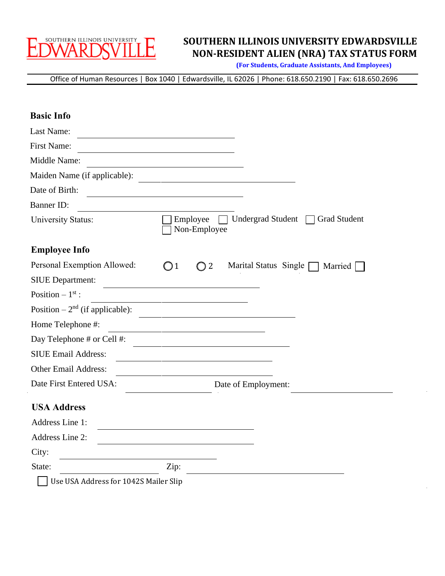

### **SOUTHERN ILLINOIS UNIVERSITY EDWARDSVILLE NON-RESIDENT ALIEN (NRA) TAX STATUS FORM**

**(For Students, Graduate Assistants, And Employees)**

Office of Human Resources | Box 1040 | Edwardsville, IL 62026 | Phone: 618.650.2190 | Fax: 618.650.2696

| <b>Basic Info</b>                     |                                                                             |
|---------------------------------------|-----------------------------------------------------------------------------|
| Last Name:                            |                                                                             |
| <b>First Name:</b>                    |                                                                             |
| Middle Name:                          |                                                                             |
| Maiden Name (if applicable):          |                                                                             |
| Date of Birth:                        |                                                                             |
| <b>Banner ID:</b>                     |                                                                             |
| University Status:                    | Employee<br>Undergrad Student $\Box$<br><b>Grad Student</b><br>Non-Employee |
| <b>Employee Info</b>                  |                                                                             |
| Personal Exemption Allowed:           | Marital Status Single [<br>$\bigcirc$ 1<br>$\bigcirc$ 2<br>Married          |
| <b>SIUE Department:</b>               |                                                                             |
| Position $-1st$ :                     |                                                                             |
| Position $-2nd$ (if applicable):      |                                                                             |
| Home Telephone #:                     |                                                                             |
| Day Telephone # or Cell #:            |                                                                             |
| <b>SIUE Email Address:</b>            |                                                                             |
| Other Email Address:                  |                                                                             |
| Date First Entered USA:               | Date of Employment:                                                         |
| <b>USA Address</b>                    |                                                                             |
| Address Line 1:                       |                                                                             |
| Address Line 2:                       |                                                                             |
| City:                                 |                                                                             |
| State:                                | Zip:                                                                        |
| Use USA Address for 1042S Mailer Slip |                                                                             |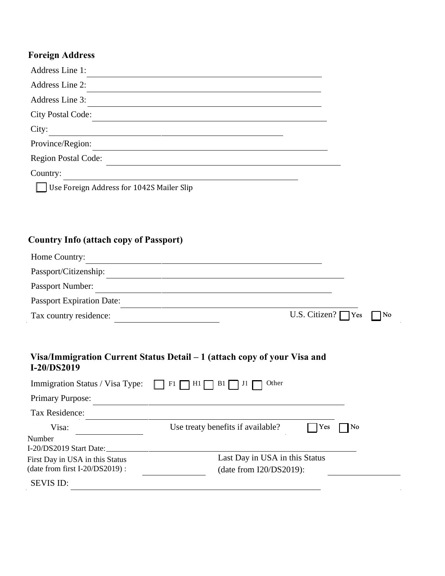# **Foreign Address**

| Address Line 1:                           |  |
|-------------------------------------------|--|
| Address Line 2:                           |  |
| Address Line 3:                           |  |
| <b>City Postal Code:</b>                  |  |
| City:                                     |  |
| Province/Region:                          |  |
| <b>Region Postal Code:</b>                |  |
| Country:                                  |  |
| Use Foreign Address for 1042S Mailer Slip |  |

# **Country Info (attach copy of Passport)**

| Home Country:                    |                                          |  |
|----------------------------------|------------------------------------------|--|
| Passport/Citizenship:            |                                          |  |
| Passport Number:                 |                                          |  |
| <b>Passport Expiration Date:</b> |                                          |  |
| Tax country residence:           | U.S. Citizen? $\bigcap$ Yes $\bigcap$ No |  |

#### **Visa/Immigration Current Status Detail – 1 (attach copy of your Visa and I-20/DS2019**

| Immigration Status / Visa Type:   | Other<br>$F1$ $\Box$<br>$HI \Box BI \Box J1$ |                      |
|-----------------------------------|----------------------------------------------|----------------------|
| <b>Primary Purpose:</b>           |                                              |                      |
| Tax Residence:                    |                                              |                      |
| Visa:                             | Use treaty benefits if available?<br>Yes     | $\mathbb{N}^{\circ}$ |
| Number<br>I-20/DS2019 Start Date: |                                              |                      |
| First Day in USA in this Status   | Last Day in USA in this Status               |                      |
| (date from first $I-20/DS2019$ ): | (date from $I20/DS2019$ ):                   |                      |
| <b>SEVIS ID:</b>                  |                                              |                      |